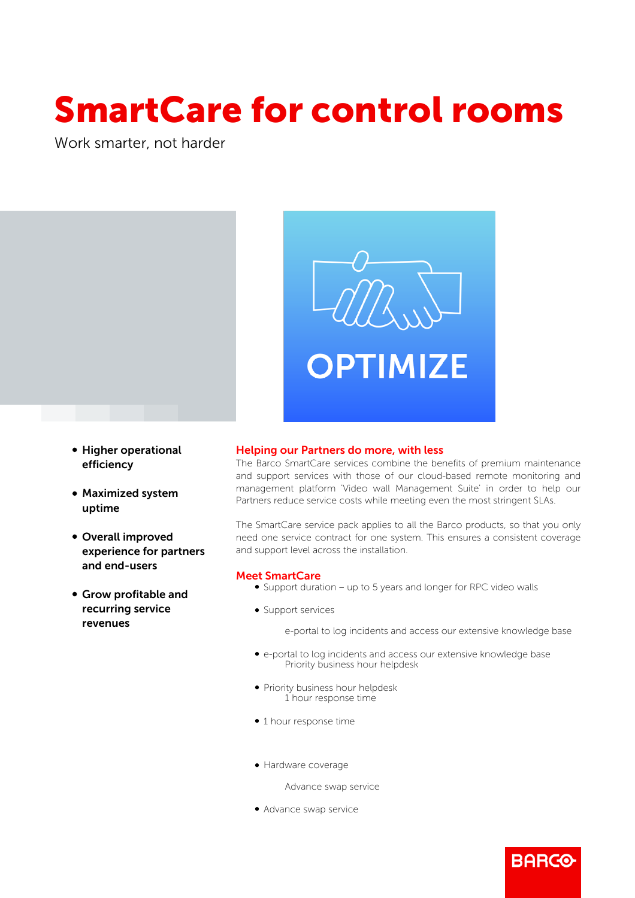# SmartCare for control rooms

Work smarter, not harder



- Higher operational efficiency
- Maximized system uptime
- Overall improved experience for partners and end-users
- b Grow profitable and recurring service revenues

### Helping our Partners do more, with less

The Barco SmartCare services combine the benefits of premium maintenance and support services with those of our cloud-based remote monitoring and management platform 'Video wall Management Suite' in order to help our Partners reduce service costs while meeting even the most stringent SLAs.

The SmartCare service pack applies to all the Barco products, so that you only need one service contract for one system. This ensures a consistent coverage and support level across the installation.

## Meet SmartCare

- Support duration up to 5 years and longer for RPC video walls
- Support services

e-portal to log incidents and access our extensive knowledge base

**BARGO** 

- b e-portal to log incidents and access our extensive knowledge base Priority business hour helpdesk
- Priority business hour helpdesk 1 hour response time
- $\bullet$  1 hour response time
- Hardware coverage

Advance swap service

• Advance swap service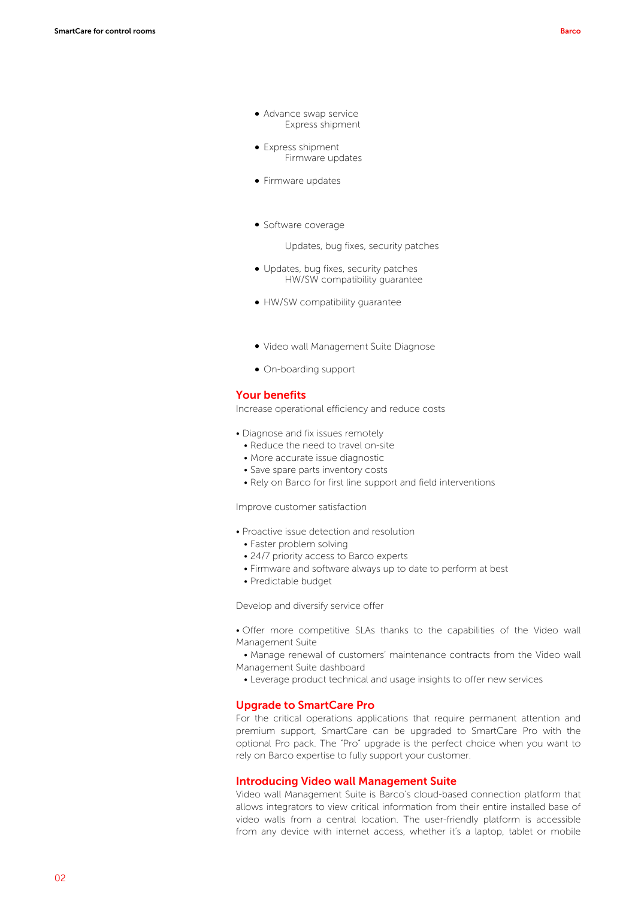- Advance swap service Express shipment
- Express shipment Firmware updates
- Firmware updates
- Software coverage

Updates, bug fixes, security patches

- Updates, bug fixes, security patches HW/SW compatibility guarantee
- HW/SW compatibility guarantee
- b Video wall Management Suite Diagnose
- On-boarding support

#### Your benefits

Increase operational efficiency and reduce costs

- Diagnose and fix issues remotely
- Reduce the need to travel on-site
- More accurate issue diagnostic
- Save spare parts inventory costs
- Rely on Barco for first line support and field interventions

Improve customer satisfaction

- Proactive issue detection and resolution
	- Faster problem solving
	- 24/7 priority access to Barco experts
	- Firmware and software always up to date to perform at best
	- Predictable budget

Develop and diversify service offer

• Offer more competitive SLAs thanks to the capabilities of the Video wall Management Suite

 • Manage renewal of customers' maintenance contracts from the Video wall Management Suite dashboard

• Leverage product technical and usage insights to offer new services

#### Upgrade to SmartCare Pro

For the critical operations applications that require permanent attention and premium support, SmartCare can be upgraded to SmartCare Pro with the optional Pro pack. The "Pro" upgrade is the perfect choice when you want to rely on Barco expertise to fully support your customer.

#### Introducing Video wall Management Suite

Video wall Management Suite is Barco's cloud-based connection platform that allows integrators to view critical information from their entire installed base of video walls from a central location. The user-friendly platform is accessible from any device with internet access, whether it's a laptop, tablet or mobile